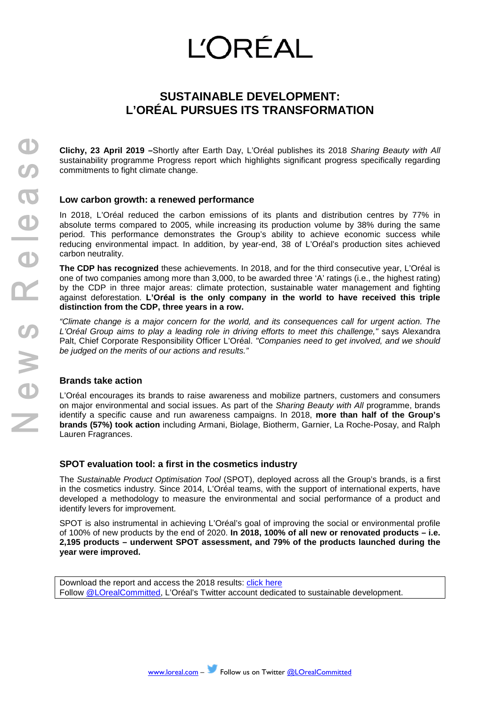# **L'ORÉAL**

## **SUSTAINABLE DEVELOPMENT: L'ORÉAL PURSUES ITS TRANSFORMATION**

**Clichy, 23 April 2019 –**Shortly after Earth Day, L'Oréal publishes its 2018 *Sharing Beauty with All* sustainability programme Progress report which highlights significant progress specifically regarding commitments to fight climate change.

### **Low carbon growth: a renewed performance**

In 2018, L'Oréal reduced the carbon emissions of its plants and distribution centres by 77% in absolute terms compared to 2005, while increasing its production volume by 38% during the same period. This performance demonstrates the Group's ability to achieve economic success while reducing environmental impact. In addition, by year-end, 38 of L'Oréal's production sites achieved carbon neutrality.

**The CDP has recognized** these achievements. In 2018, and for the third consecutive year, L'Oréal is one of two companies among more than 3,000, to be awarded three 'A' ratings (i.e., the highest rating) by the CDP in three major areas: climate protection, sustainable water management and fighting against deforestation. **L'Oréal is the only company in the world to have received this triple distinction from the CDP, three years in a row.**

*"Climate change is a major concern for the world, and its consequences call for urgent action. The L'Oréal Group aims to play a leading role in driving efforts to meet this challenge,"* says Alexandra Palt, Chief Corporate Responsibility Officer L'Oréal. *"Companies need to get involved, and we should be judged on the merits of our actions and results."*

#### **Brands take action**

L'Oréal encourages its brands to raise awareness and mobilize partners, customers and consumers on major environmental and social issues. As part of the *Sharing Beauty with All* programme, brands identify a specific cause and run awareness campaigns. In 2018, **more than half of the Group's brands (57%) took action** including Armani, Biolage, Biotherm, Garnier, La Roche-Posay, and Ralph Lauren Fragrances.

#### **SPOT evaluation tool: a first in the cosmetics industry**

The *Sustainable Product Optimisation Tool* (SPOT), deployed across all the Group's brands, is a first in the cosmetics industry. Since 2014, L'Oréal teams, with the support of international experts, have developed a methodology to measure the environmental and social performance of a product and identify levers for improvement.

SPOT is also instrumental in achieving L'Oréal's goal of improving the social or environmental profile of 100% of new products by the end of 2020. **In 2018, 100% of all new or renovated products – i.e. 2,195 products – underwent SPOT assessment, and 79% of the products launched during the year were improved.**

Download the report and access the 2018 results: [click here](https://loreal-dam-front-corp-en-cdn.damdy.com/ressources/afile/178943-24f07-resource_pdf-sbwa-progress-report-en.pdf) Follow [@LOrealCommitted,](https://twitter.com/lorealcommitted) L'Oréal's Twitter account dedicated to sustainable development.